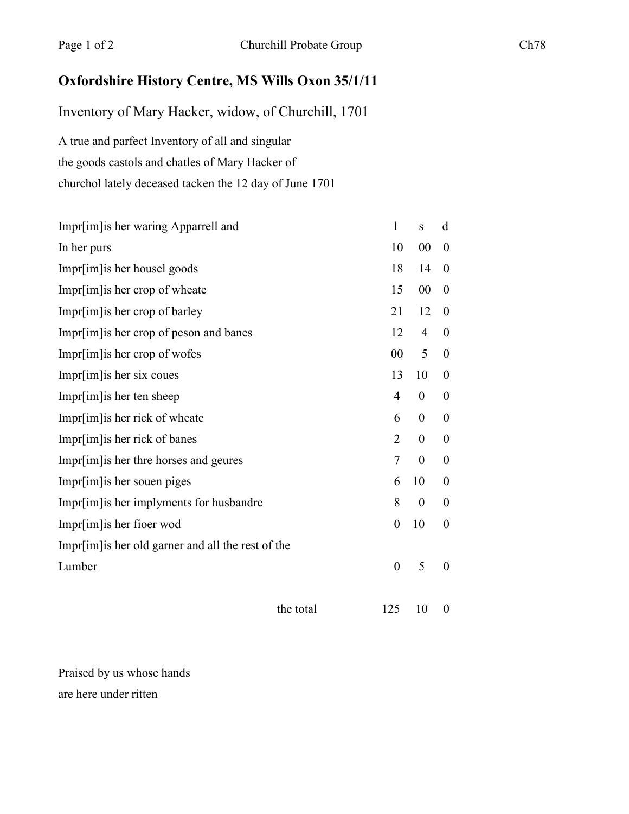## **Oxfordshire History Centre, MS Wills Oxon 35/1/11**

Inventory of Mary Hacker, widow, of Churchill, 1701

A true and parfect Inventory of all and singular the goods castols and chatles of Mary Hacker of churchol lately deceased tacken the 12 day of June 1701

| Impr[im]is her waring Apparrell and                | $\mathbf{1}$     | S                | d                |
|----------------------------------------------------|------------------|------------------|------------------|
| In her purs                                        | 10               | 00               | $\boldsymbol{0}$ |
| Impr[im]is her housel goods                        | 18               | 14               | $\theta$         |
| Impr[im] is her crop of wheate                     | 15               | 00               | $\theta$         |
| Impr[im] is her crop of barley                     | 21               | 12               | $\theta$         |
| Impr[im] is her crop of peson and banes            | 12               | $\overline{4}$   | $\boldsymbol{0}$ |
| Impr[im] is her crop of wofes                      | 00               | 5                | $\boldsymbol{0}$ |
| Impr[im] is her six coues                          | 13               | 10               | $\boldsymbol{0}$ |
| Impr[im] is her ten sheep                          | $\overline{4}$   | $\boldsymbol{0}$ | $\boldsymbol{0}$ |
| Impr[im] is her rick of wheate                     | 6                | $\boldsymbol{0}$ | $\boldsymbol{0}$ |
| Impr[im]is her rick of banes                       | $\overline{2}$   | $\boldsymbol{0}$ | $\boldsymbol{0}$ |
| Impr[im] is her thre horses and geures             | 7                | $\boldsymbol{0}$ | $\boldsymbol{0}$ |
| Impr[im] is her souen piges                        | 6                | 10               | $\boldsymbol{0}$ |
| Impr[im] is her implyments for husbandre           | 8                | $\boldsymbol{0}$ | $\boldsymbol{0}$ |
| Impr[im]is her fioer wod                           | $\boldsymbol{0}$ | 10               | $\boldsymbol{0}$ |
| Impr[im] is her old garner and all the rest of the |                  |                  |                  |
| Lumber                                             | $\boldsymbol{0}$ | 5                | $\boldsymbol{0}$ |
| the total                                          | 125              | 10               | $\boldsymbol{0}$ |

Praised by us whose hands are here under ritten